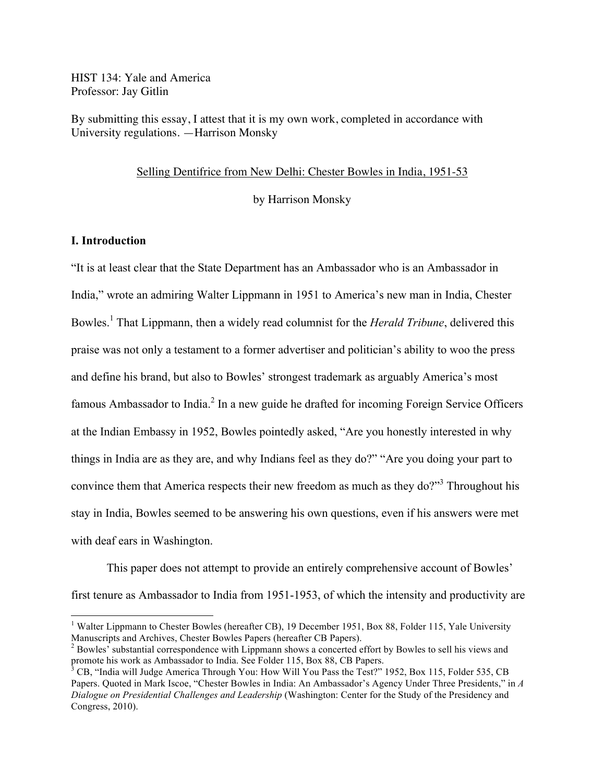HIST 134: Yale and America Professor: Jay Gitlin

By submitting this essay, I attest that it is my own work, completed in accordance with University regulations. —Harrison Monsky

#### Selling Dentifrice from New Delhi: Chester Bowles in India, 1951-53

by Harrison Monsky

# **I. Introduction**

"It is at least clear that the State Department has an Ambassador who is an Ambassador in India," wrote an admiring Walter Lippmann in 1951 to America's new man in India, Chester Bowles.<sup>1</sup> That Lippmann, then a widely read columnist for the *Herald Tribune*, delivered this praise was not only a testament to a former advertiser and politician's ability to woo the press and define his brand, but also to Bowles' strongest trademark as arguably America's most famous Ambassador to India. $^2$  In a new guide he drafted for incoming Foreign Service Officers at the Indian Embassy in 1952, Bowles pointedly asked, "Are you honestly interested in why things in India are as they are, and why Indians feel as they do?" "Are you doing your part to convince them that America respects their new freedom as much as they do?"<sup>3</sup> Throughout his stay in India, Bowles seemed to be answering his own questions, even if his answers were met with deaf ears in Washington.

This paper does not attempt to provide an entirely comprehensive account of Bowles' first tenure as Ambassador to India from 1951-1953, of which the intensity and productivity are

<sup>&</sup>lt;sup>1</sup> Walter Lippmann to Chester Bowles (hereafter CB), 19 December 1951, Box 88, Folder 115, Yale University Manuscripts and Archives, Chester Bowles Papers (hereafter CB Papers).

 $^2$  Bowles' substantial correspondence with Lippmann shows a concerted effort by Bowles to sell his views and promote his work as Ambassador to India. See Folder 115, Box 88, CB Papers.

<sup>&</sup>lt;sup>3</sup> CB, "India will Judge America Through You: How Will You Pass the Test?" 1952, Box 115, Folder 535, CB Papers. Quoted in Mark Iscoe, "Chester Bowles in India: An Ambassador's Agency Under Three Presidents," in *A Dialogue on Presidential Challenges and Leadership* (Washington: Center for the Study of the Presidency and Congress, 2010).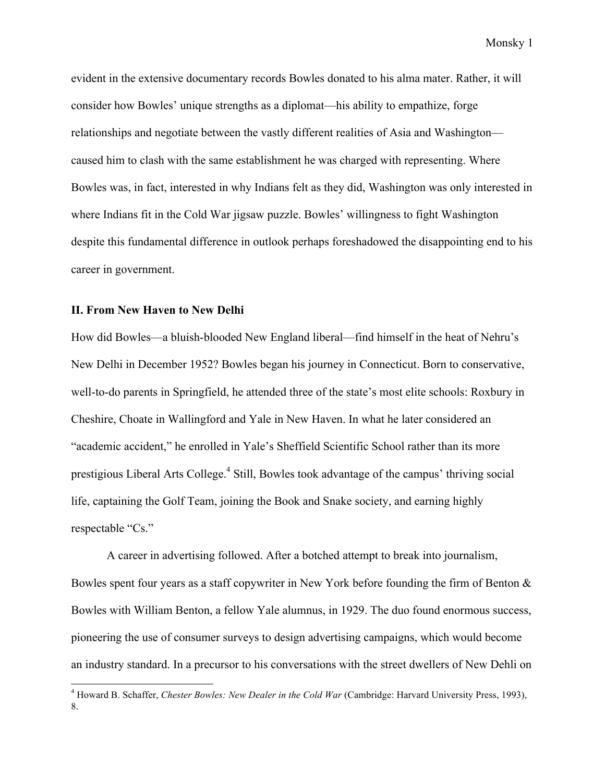evident in the extensive documentary records Bowles donated to his alma mater. Rather, it will consider how Bowles' unique strengths as a diplomat—his ability to empathize, forge relationships and negotiate between the vastly different realities of Asia and Washington caused him to clash with the same establishment he was charged with representing. Where Bowles was, in fact, interested in why Indians felt as they did, Washington was only interested in where Indians fit in the Cold War jigsaw puzzle. Bowles' willingness to fight Washington despite this fundamental difference in outlook perhaps foreshadowed the disappointing end to his career in government.

### **II. From New Haven to New Delhi**

How did Bowles—a bluish-blooded New England liberal—find himself in the heat of Nehru's New Delhi in December 1952? Bowles began his journey in Connecticut. Born to conservative, well-to-do parents in Springfield, he attended three of the state's most elite schools: Roxbury in Cheshire, Choate in Wallingford and Yale in New Haven. In what he later considered an "academic accident," he enrolled in Yale's Sheffield Scientific School rather than its more prestigious Liberal Arts College.4 Still, Bowles took advantage of the campus' thriving social life, captaining the Golf Team, joining the Book and Snake society, and earning highly respectable "Cs."

A career in advertising followed. After a botched attempt to break into journalism, Bowles spent four years as a staff copywriter in New York before founding the firm of Benton & Bowles with William Benton, a fellow Yale alumnus, in 1929. The duo found enormous success, pioneering the use of consumer surveys to design advertising campaigns, which would become an industry standard. In a precursor to his conversations with the street dwellers of New Dehli on

 <sup>4</sup> Howard B. Schaffer, *Chester Bowles: New Dealer in the Cold War* (Cambridge: Harvard University Press, 1993), 8.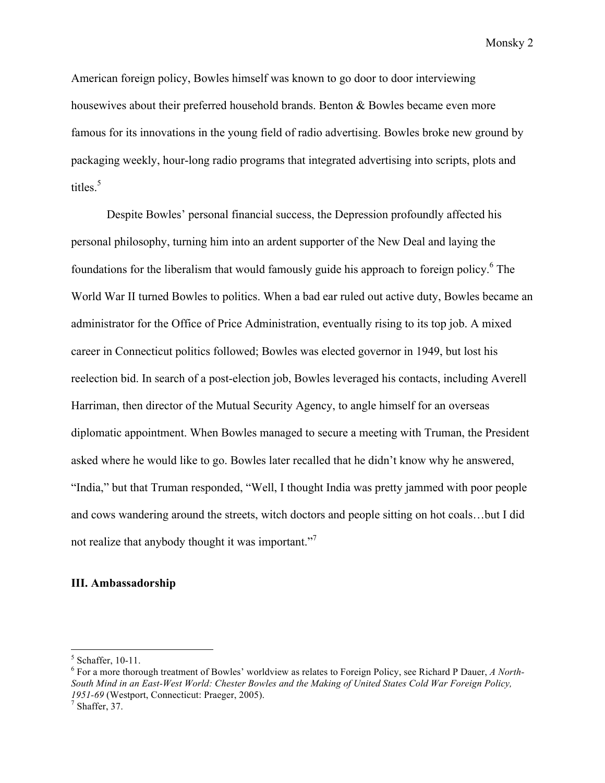American foreign policy, Bowles himself was known to go door to door interviewing housewives about their preferred household brands. Benton & Bowles became even more famous for its innovations in the young field of radio advertising. Bowles broke new ground by packaging weekly, hour-long radio programs that integrated advertising into scripts, plots and titles. $5$ 

Despite Bowles' personal financial success, the Depression profoundly affected his personal philosophy, turning him into an ardent supporter of the New Deal and laying the foundations for the liberalism that would famously guide his approach to foreign policy.<sup>6</sup> The World War II turned Bowles to politics. When a bad ear ruled out active duty, Bowles became an administrator for the Office of Price Administration, eventually rising to its top job. A mixed career in Connecticut politics followed; Bowles was elected governor in 1949, but lost his reelection bid. In search of a post-election job, Bowles leveraged his contacts, including Averell Harriman, then director of the Mutual Security Agency, to angle himself for an overseas diplomatic appointment. When Bowles managed to secure a meeting with Truman, the President asked where he would like to go. Bowles later recalled that he didn't know why he answered, "India," but that Truman responded, "Well, I thought India was pretty jammed with poor people and cows wandering around the streets, witch doctors and people sitting on hot coals…but I did not realize that anybody thought it was important."

### **III. Ambassadorship**

<sup>&</sup>lt;sup>5</sup> Schaffer, 10-11.<br>
<sup>6</sup> For a more thorough treatment of Bowles' worldview as relates to Foreign Policy, see Richard P Dauer, *A North*-*South Mind in an East-West World: Chester Bowles and the Making of United States Cold War Foreign Policy, 1951-69* (Westport, Connecticut: Praeger, 2005).<sup>7</sup> Shaffer, 37.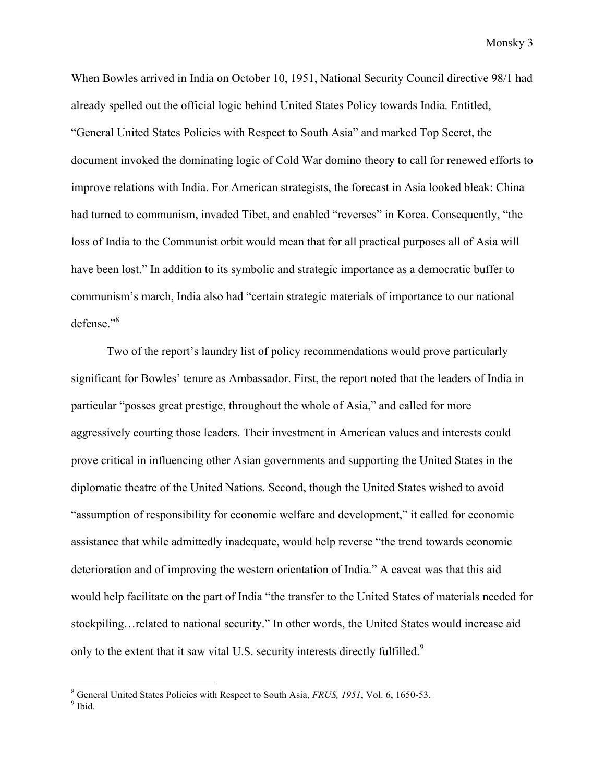When Bowles arrived in India on October 10, 1951, National Security Council directive 98/1 had already spelled out the official logic behind United States Policy towards India. Entitled, "General United States Policies with Respect to South Asia" and marked Top Secret, the document invoked the dominating logic of Cold War domino theory to call for renewed efforts to improve relations with India. For American strategists, the forecast in Asia looked bleak: China had turned to communism, invaded Tibet, and enabled "reverses" in Korea. Consequently, "the loss of India to the Communist orbit would mean that for all practical purposes all of Asia will have been lost." In addition to its symbolic and strategic importance as a democratic buffer to communism's march, India also had "certain strategic materials of importance to our national defense<sup>"8</sup>

Two of the report's laundry list of policy recommendations would prove particularly significant for Bowles' tenure as Ambassador. First, the report noted that the leaders of India in particular "posses great prestige, throughout the whole of Asia," and called for more aggressively courting those leaders. Their investment in American values and interests could prove critical in influencing other Asian governments and supporting the United States in the diplomatic theatre of the United Nations. Second, though the United States wished to avoid "assumption of responsibility for economic welfare and development," it called for economic assistance that while admittedly inadequate, would help reverse "the trend towards economic deterioration and of improving the western orientation of India." A caveat was that this aid would help facilitate on the part of India "the transfer to the United States of materials needed for stockpiling…related to national security." In other words, the United States would increase aid only to the extent that it saw vital U.S. security interests directly fulfilled.<sup>9</sup>

<sup>&</sup>lt;sup>8</sup> General United States Policies with Respect to South Asia, *FRUS*, 1951, Vol. 6, 1650-53.<br><sup>9</sup> Ibid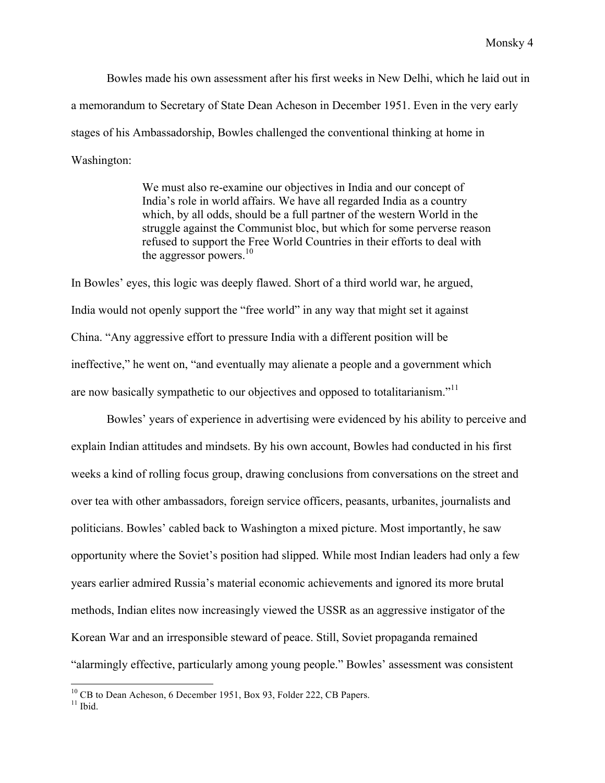Bowles made his own assessment after his first weeks in New Delhi, which he laid out in a memorandum to Secretary of State Dean Acheson in December 1951. Even in the very early stages of his Ambassadorship, Bowles challenged the conventional thinking at home in Washington:

> We must also re-examine our objectives in India and our concept of India's role in world affairs. We have all regarded India as a country which, by all odds, should be a full partner of the western World in the struggle against the Communist bloc, but which for some perverse reason refused to support the Free World Countries in their efforts to deal with the aggressor powers. $10$

In Bowles' eyes, this logic was deeply flawed. Short of a third world war, he argued, India would not openly support the "free world" in any way that might set it against China. "Any aggressive effort to pressure India with a different position will be ineffective," he went on, "and eventually may alienate a people and a government which are now basically sympathetic to our objectives and opposed to totalitarianism."<sup>11</sup>

Bowles' years of experience in advertising were evidenced by his ability to perceive and explain Indian attitudes and mindsets. By his own account, Bowles had conducted in his first weeks a kind of rolling focus group, drawing conclusions from conversations on the street and over tea with other ambassadors, foreign service officers, peasants, urbanites, journalists and politicians. Bowles' cabled back to Washington a mixed picture. Most importantly, he saw opportunity where the Soviet's position had slipped. While most Indian leaders had only a few years earlier admired Russia's material economic achievements and ignored its more brutal methods, Indian elites now increasingly viewed the USSR as an aggressive instigator of the Korean War and an irresponsible steward of peace. Still, Soviet propaganda remained "alarmingly effective, particularly among young people." Bowles' assessment was consistent

 $10^{10}$  CB to Dean Acheson, 6 December 1951, Box 93, Folder 222, CB Papers.  $11$  Ibid.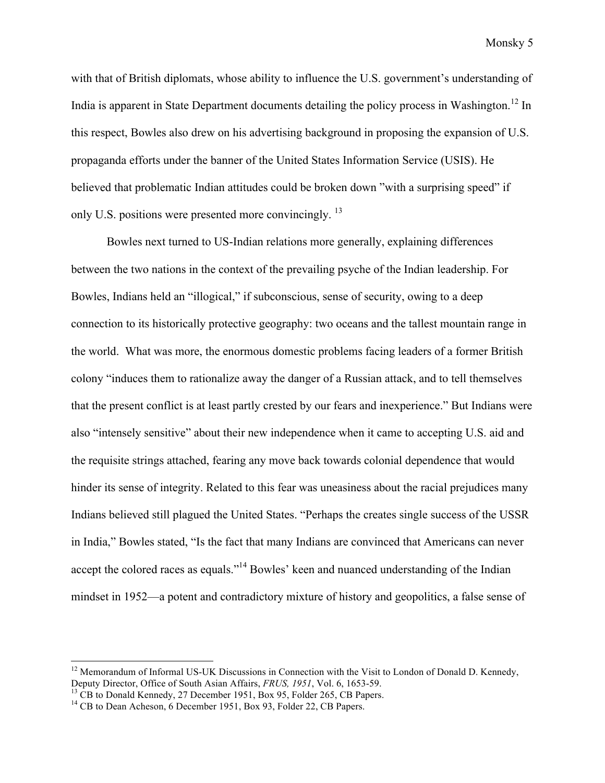with that of British diplomats, whose ability to influence the U.S. government's understanding of India is apparent in State Department documents detailing the policy process in Washington.<sup>12</sup> In this respect, Bowles also drew on his advertising background in proposing the expansion of U.S. propaganda efforts under the banner of the United States Information Service (USIS). He believed that problematic Indian attitudes could be broken down "with a surprising speed" if only U.S. positions were presented more convincingly. <sup>13</sup>

Bowles next turned to US-Indian relations more generally, explaining differences between the two nations in the context of the prevailing psyche of the Indian leadership. For Bowles, Indians held an "illogical," if subconscious, sense of security, owing to a deep connection to its historically protective geography: two oceans and the tallest mountain range in the world. What was more, the enormous domestic problems facing leaders of a former British colony "induces them to rationalize away the danger of a Russian attack, and to tell themselves that the present conflict is at least partly crested by our fears and inexperience." But Indians were also "intensely sensitive" about their new independence when it came to accepting U.S. aid and the requisite strings attached, fearing any move back towards colonial dependence that would hinder its sense of integrity. Related to this fear was uneasiness about the racial prejudices many Indians believed still plagued the United States. "Perhaps the creates single success of the USSR in India," Bowles stated, "Is the fact that many Indians are convinced that Americans can never accept the colored races as equals."<sup>14</sup> Bowles' keen and nuanced understanding of the Indian mindset in 1952—a potent and contradictory mixture of history and geopolitics, a false sense of

<sup>&</sup>lt;sup>12</sup> Memorandum of Informal US-UK Discussions in Connection with the Visit to London of Donald D. Kennedy, Deputy Director, Office of South Asian Affairs,  $FRUS$ ,  $1951$ , Vol. 6, 1653-59.

<sup>&</sup>lt;sup>13</sup> CB to Donald Kennedy, 27 December 1951, Box 95, Folder 265, CB Papers.<br><sup>14</sup> CB to Dean Acheson, 6 December 1951, Box 93, Folder 22, CB Papers.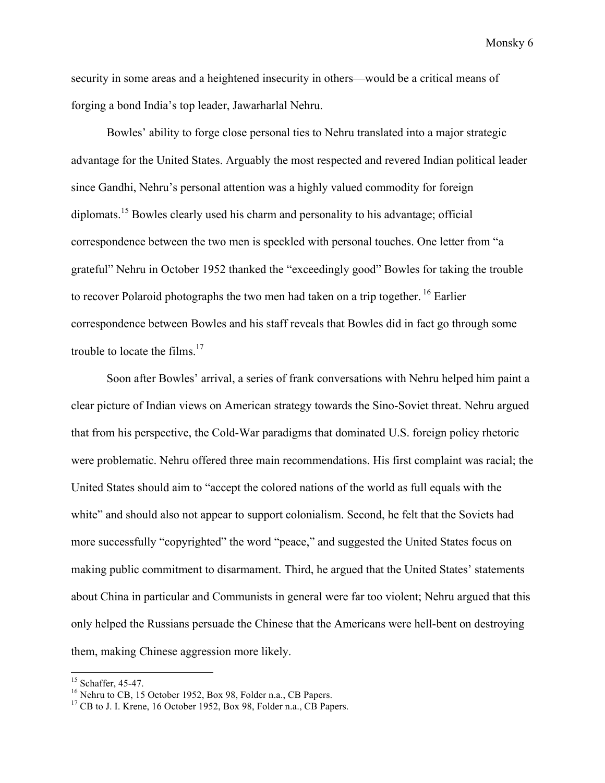security in some areas and a heightened insecurity in others—would be a critical means of forging a bond India's top leader, Jawarharlal Nehru.

Bowles' ability to forge close personal ties to Nehru translated into a major strategic advantage for the United States. Arguably the most respected and revered Indian political leader since Gandhi, Nehru's personal attention was a highly valued commodity for foreign diplomats.<sup>15</sup> Bowles clearly used his charm and personality to his advantage; official correspondence between the two men is speckled with personal touches. One letter from "a grateful" Nehru in October 1952 thanked the "exceedingly good" Bowles for taking the trouble to recover Polaroid photographs the two men had taken on a trip together.<sup>16</sup> Earlier correspondence between Bowles and his staff reveals that Bowles did in fact go through some trouble to locate the films. $17$ 

Soon after Bowles' arrival, a series of frank conversations with Nehru helped him paint a clear picture of Indian views on American strategy towards the Sino-Soviet threat. Nehru argued that from his perspective, the Cold-War paradigms that dominated U.S. foreign policy rhetoric were problematic. Nehru offered three main recommendations. His first complaint was racial; the United States should aim to "accept the colored nations of the world as full equals with the white" and should also not appear to support colonialism. Second, he felt that the Soviets had more successfully "copyrighted" the word "peace," and suggested the United States focus on making public commitment to disarmament. Third, he argued that the United States' statements about China in particular and Communists in general were far too violent; Nehru argued that this only helped the Russians persuade the Chinese that the Americans were hell-bent on destroying them, making Chinese aggression more likely.

<sup>&</sup>lt;sup>15</sup> Schaffer, 45-47.<br><sup>16</sup> Nehru to CB, 15 October 1952, Box 98, Folder n.a., CB Papers. <sup>17</sup> CB to J. I. Krene, 16 October 1952, Box 98, Folder n.a., CB Papers.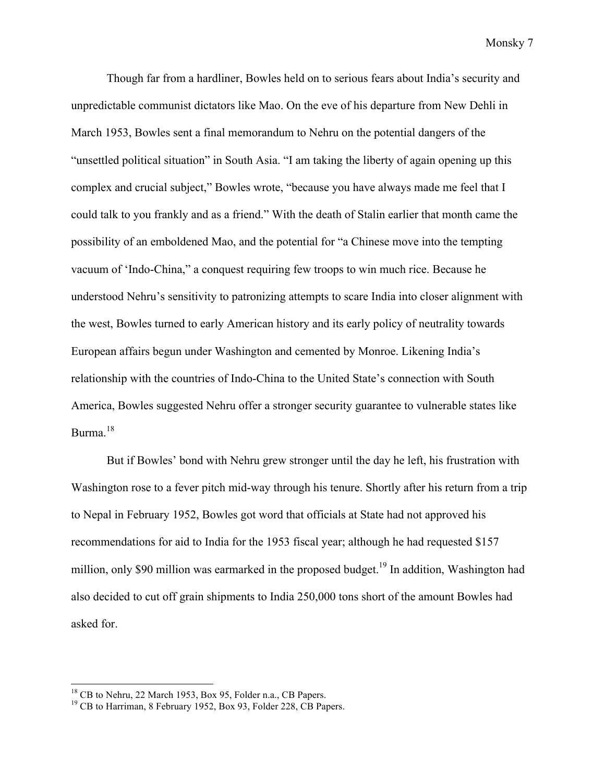Though far from a hardliner, Bowles held on to serious fears about India's security and unpredictable communist dictators like Mao. On the eve of his departure from New Dehli in March 1953, Bowles sent a final memorandum to Nehru on the potential dangers of the "unsettled political situation" in South Asia. "I am taking the liberty of again opening up this complex and crucial subject," Bowles wrote, "because you have always made me feel that I could talk to you frankly and as a friend." With the death of Stalin earlier that month came the possibility of an emboldened Mao, and the potential for "a Chinese move into the tempting vacuum of 'Indo-China," a conquest requiring few troops to win much rice. Because he understood Nehru's sensitivity to patronizing attempts to scare India into closer alignment with the west, Bowles turned to early American history and its early policy of neutrality towards European affairs begun under Washington and cemented by Monroe. Likening India's relationship with the countries of Indo-China to the United State's connection with South America, Bowles suggested Nehru offer a stronger security guarantee to vulnerable states like Burma.<sup>18</sup>

But if Bowles' bond with Nehru grew stronger until the day he left, his frustration with Washington rose to a fever pitch mid-way through his tenure. Shortly after his return from a trip to Nepal in February 1952, Bowles got word that officials at State had not approved his recommendations for aid to India for the 1953 fiscal year; although he had requested \$157 million, only \$90 million was earmarked in the proposed budget.<sup>19</sup> In addition, Washington had also decided to cut off grain shipments to India 250,000 tons short of the amount Bowles had asked for.

<sup>&</sup>lt;sup>18</sup> CB to Nehru, 22 March 1953, Box 95, Folder n.a., CB Papers. <sup>19</sup> CB to Harriman, 8 February 1952, Box 93, Folder 228, CB Papers.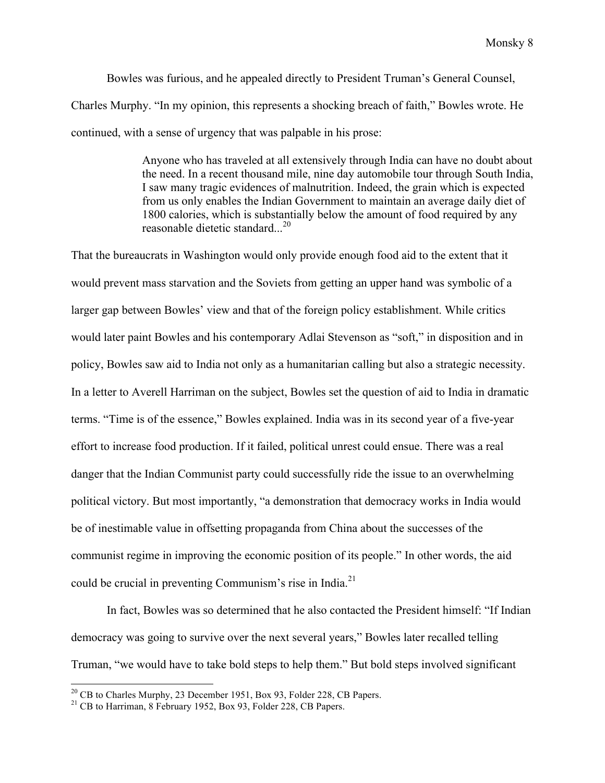Bowles was furious, and he appealed directly to President Truman's General Counsel, Charles Murphy. "In my opinion, this represents a shocking breach of faith," Bowles wrote. He continued, with a sense of urgency that was palpable in his prose:

> Anyone who has traveled at all extensively through India can have no doubt about the need. In a recent thousand mile, nine day automobile tour through South India, I saw many tragic evidences of malnutrition. Indeed, the grain which is expected from us only enables the Indian Government to maintain an average daily diet of 1800 calories, which is substantially below the amount of food required by any reasonable dietetic standard...<sup>20</sup>

That the bureaucrats in Washington would only provide enough food aid to the extent that it would prevent mass starvation and the Soviets from getting an upper hand was symbolic of a larger gap between Bowles' view and that of the foreign policy establishment. While critics would later paint Bowles and his contemporary Adlai Stevenson as "soft," in disposition and in policy, Bowles saw aid to India not only as a humanitarian calling but also a strategic necessity. In a letter to Averell Harriman on the subject, Bowles set the question of aid to India in dramatic terms. "Time is of the essence," Bowles explained. India was in its second year of a five-year effort to increase food production. If it failed, political unrest could ensue. There was a real danger that the Indian Communist party could successfully ride the issue to an overwhelming political victory. But most importantly, "a demonstration that democracy works in India would be of inestimable value in offsetting propaganda from China about the successes of the communist regime in improving the economic position of its people." In other words, the aid could be crucial in preventing Communism's rise in India.<sup>21</sup>

In fact, Bowles was so determined that he also contacted the President himself: "If Indian democracy was going to survive over the next several years," Bowles later recalled telling Truman, "we would have to take bold steps to help them." But bold steps involved significant

<sup>&</sup>lt;sup>20</sup> CB to Charles Murphy, 23 December 1951, Box 93, Folder 228, CB Papers. <sup>21</sup> CB to Harriman, 8 February 1952, Box 93, Folder 228, CB Papers.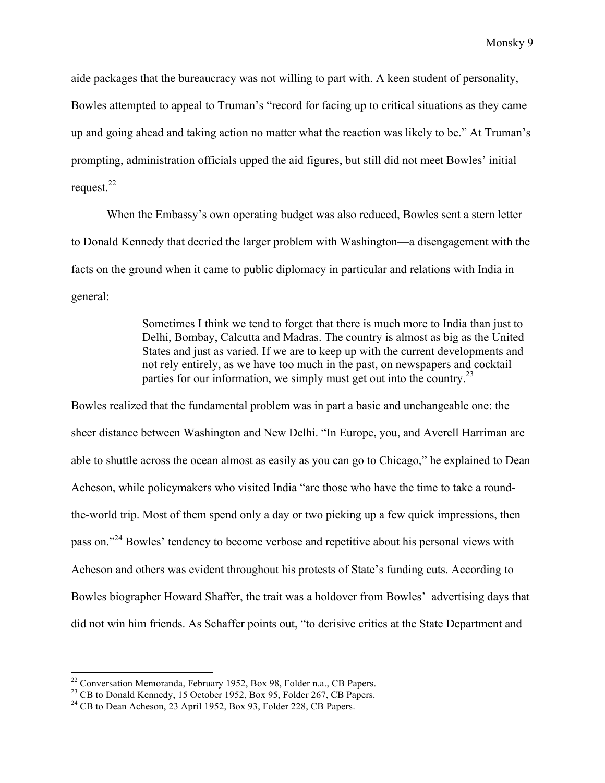aide packages that the bureaucracy was not willing to part with. A keen student of personality, Bowles attempted to appeal to Truman's "record for facing up to critical situations as they came up and going ahead and taking action no matter what the reaction was likely to be." At Truman's prompting, administration officials upped the aid figures, but still did not meet Bowles' initial request. $^{22}$ 

When the Embassy's own operating budget was also reduced, Bowles sent a stern letter to Donald Kennedy that decried the larger problem with Washington—a disengagement with the facts on the ground when it came to public diplomacy in particular and relations with India in general:

> Sometimes I think we tend to forget that there is much more to India than just to Delhi, Bombay, Calcutta and Madras. The country is almost as big as the United States and just as varied. If we are to keep up with the current developments and not rely entirely, as we have too much in the past, on newspapers and cocktail parties for our information, we simply must get out into the country.<sup>23</sup>

Bowles realized that the fundamental problem was in part a basic and unchangeable one: the sheer distance between Washington and New Delhi. "In Europe, you, and Averell Harriman are able to shuttle across the ocean almost as easily as you can go to Chicago," he explained to Dean Acheson, while policymakers who visited India "are those who have the time to take a roundthe-world trip. Most of them spend only a day or two picking up a few quick impressions, then pass on."24 Bowles' tendency to become verbose and repetitive about his personal views with Acheson and others was evident throughout his protests of State's funding cuts. According to Bowles biographer Howard Shaffer, the trait was a holdover from Bowles' advertising days that did not win him friends. As Schaffer points out, "to derisive critics at the State Department and

<sup>&</sup>lt;sup>22</sup> Conversation Memoranda, February 1952, Box 98, Folder n.a., CB Papers.<br><sup>23</sup> CB to Donald Kennedy, 15 October 1952, Box 95, Folder 267, CB Papers. <sup>24</sup> CB to Dean Acheson, 23 April 1952, Box 93, Folder 228, CB Papers.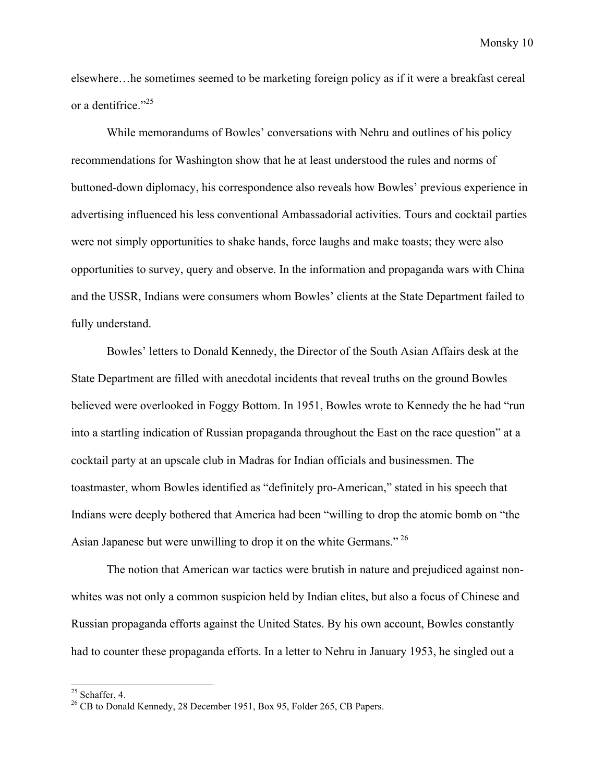elsewhere…he sometimes seemed to be marketing foreign policy as if it were a breakfast cereal or a dentifrice."<sup>25</sup>

While memorandums of Bowles' conversations with Nehru and outlines of his policy recommendations for Washington show that he at least understood the rules and norms of buttoned-down diplomacy, his correspondence also reveals how Bowles' previous experience in advertising influenced his less conventional Ambassadorial activities. Tours and cocktail parties were not simply opportunities to shake hands, force laughs and make toasts; they were also opportunities to survey, query and observe. In the information and propaganda wars with China and the USSR, Indians were consumers whom Bowles' clients at the State Department failed to fully understand.

Bowles' letters to Donald Kennedy, the Director of the South Asian Affairs desk at the State Department are filled with anecdotal incidents that reveal truths on the ground Bowles believed were overlooked in Foggy Bottom. In 1951, Bowles wrote to Kennedy the he had "run into a startling indication of Russian propaganda throughout the East on the race question" at a cocktail party at an upscale club in Madras for Indian officials and businessmen. The toastmaster, whom Bowles identified as "definitely pro-American," stated in his speech that Indians were deeply bothered that America had been "willing to drop the atomic bomb on "the Asian Japanese but were unwilling to drop it on the white Germans."<sup>26</sup>

The notion that American war tactics were brutish in nature and prejudiced against nonwhites was not only a common suspicion held by Indian elites, but also a focus of Chinese and Russian propaganda efforts against the United States. By his own account, Bowles constantly had to counter these propaganda efforts. In a letter to Nehru in January 1953, he singled out a

<sup>&</sup>lt;sup>25</sup> Schaffer, 4.  $^{26}$  CB to Donald Kennedy, 28 December 1951, Box 95, Folder 265, CB Papers.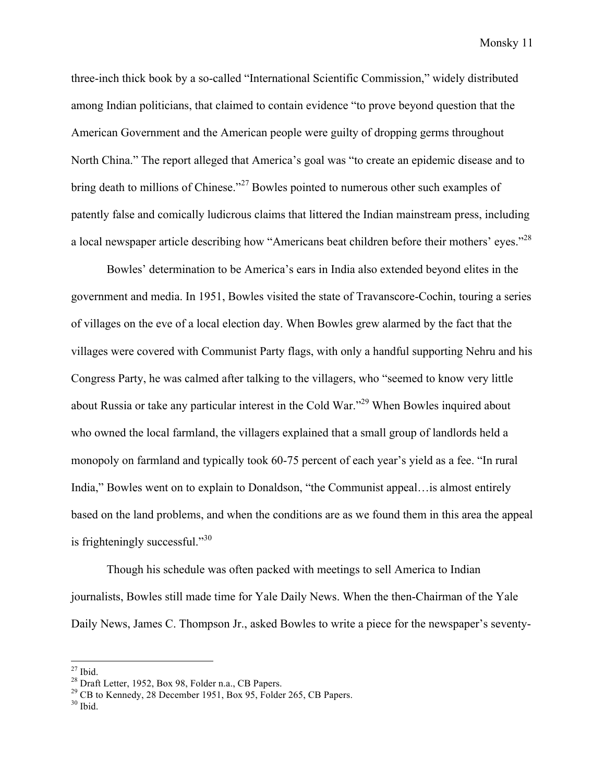three-inch thick book by a so-called "International Scientific Commission," widely distributed among Indian politicians, that claimed to contain evidence "to prove beyond question that the American Government and the American people were guilty of dropping germs throughout North China." The report alleged that America's goal was "to create an epidemic disease and to bring death to millions of Chinese."<sup>27</sup> Bowles pointed to numerous other such examples of patently false and comically ludicrous claims that littered the Indian mainstream press, including a local newspaper article describing how "Americans beat children before their mothers' eyes."<sup>28</sup>

Bowles' determination to be America's ears in India also extended beyond elites in the government and media. In 1951, Bowles visited the state of Travanscore-Cochin, touring a series of villages on the eve of a local election day. When Bowles grew alarmed by the fact that the villages were covered with Communist Party flags, with only a handful supporting Nehru and his Congress Party, he was calmed after talking to the villagers, who "seemed to know very little about Russia or take any particular interest in the Cold War."29 When Bowles inquired about who owned the local farmland, the villagers explained that a small group of landlords held a monopoly on farmland and typically took 60-75 percent of each year's yield as a fee. "In rural India," Bowles went on to explain to Donaldson, "the Communist appeal…is almost entirely based on the land problems, and when the conditions are as we found them in this area the appeal is frighteningly successful."<sup>30</sup>

Though his schedule was often packed with meetings to sell America to Indian journalists, Bowles still made time for Yale Daily News. When the then-Chairman of the Yale Daily News, James C. Thompson Jr., asked Bowles to write a piece for the newspaper's seventy-

<sup>&</sup>lt;sup>27</sup> Ibid.<br><sup>28</sup> Draft Letter, 1952, Box 98, Folder n.a., CB Papers.<br><sup>29</sup> CB to Kennedy, 28 December 1951, Box 95, Folder 265, CB Papers.<br><sup>30</sup> Ibid.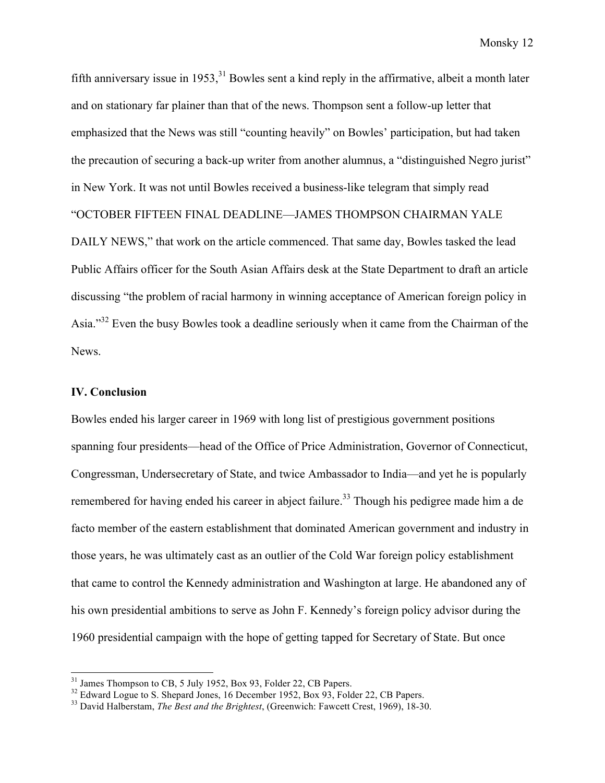fifth anniversary issue in 1953,  $31$  Bowles sent a kind reply in the affirmative, albeit a month later and on stationary far plainer than that of the news. Thompson sent a follow-up letter that emphasized that the News was still "counting heavily" on Bowles' participation, but had taken the precaution of securing a back-up writer from another alumnus, a "distinguished Negro jurist" in New York. It was not until Bowles received a business-like telegram that simply read "OCTOBER FIFTEEN FINAL DEADLINE—JAMES THOMPSON CHAIRMAN YALE DAILY NEWS," that work on the article commenced. That same day, Bowles tasked the lead Public Affairs officer for the South Asian Affairs desk at the State Department to draft an article discussing "the problem of racial harmony in winning acceptance of American foreign policy in Asia."32 Even the busy Bowles took a deadline seriously when it came from the Chairman of the News.

# **IV. Conclusion**

Bowles ended his larger career in 1969 with long list of prestigious government positions spanning four presidents—head of the Office of Price Administration, Governor of Connecticut, Congressman, Undersecretary of State, and twice Ambassador to India—and yet he is popularly remembered for having ended his career in abject failure.<sup>33</sup> Though his pedigree made him a de facto member of the eastern establishment that dominated American government and industry in those years, he was ultimately cast as an outlier of the Cold War foreign policy establishment that came to control the Kennedy administration and Washington at large. He abandoned any of his own presidential ambitions to serve as John F. Kennedy's foreign policy advisor during the 1960 presidential campaign with the hope of getting tapped for Secretary of State. But once

<sup>&</sup>lt;sup>31</sup> James Thompson to CB, 5 July 1952, Box 93, Folder 22, CB Papers.<br><sup>32</sup> Edward Logue to S. Shepard Jones, 16 December 1952, Box 93, Folder 22, CB Papers.<br><sup>33</sup> David Halberstam, *The Best and the Brightest*, (Greenwich: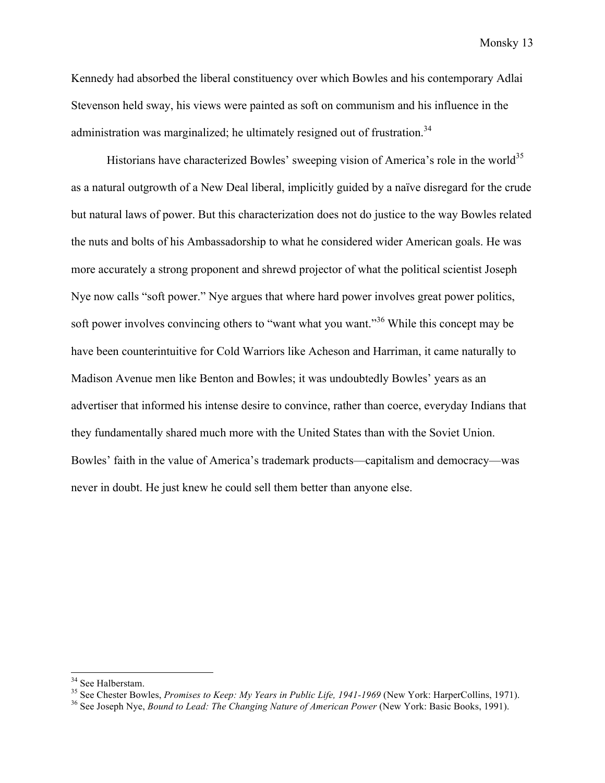Kennedy had absorbed the liberal constituency over which Bowles and his contemporary Adlai Stevenson held sway, his views were painted as soft on communism and his influence in the administration was marginalized; he ultimately resigned out of frustration.<sup>34</sup>

Historians have characterized Bowles' sweeping vision of America's role in the world<sup>35</sup> as a natural outgrowth of a New Deal liberal, implicitly guided by a naïve disregard for the crude but natural laws of power. But this characterization does not do justice to the way Bowles related the nuts and bolts of his Ambassadorship to what he considered wider American goals. He was more accurately a strong proponent and shrewd projector of what the political scientist Joseph Nye now calls "soft power." Nye argues that where hard power involves great power politics, soft power involves convincing others to "want what you want."<sup>36</sup> While this concept may be have been counterintuitive for Cold Warriors like Acheson and Harriman, it came naturally to Madison Avenue men like Benton and Bowles; it was undoubtedly Bowles' years as an advertiser that informed his intense desire to convince, rather than coerce, everyday Indians that they fundamentally shared much more with the United States than with the Soviet Union. Bowles' faith in the value of America's trademark products—capitalism and democracy—was never in doubt. He just knew he could sell them better than anyone else.

<sup>&</sup>lt;sup>34</sup> See Halberstam.<br><sup>35</sup> See Chester Bowles, *Promises to Keep: My Years in Public Life, 1941-1969* (New York: HarperCollins, 1971).<br><sup>36</sup> See Joseph Nye, *Bound to Lead: The Changing Nature of American Power* (New York: